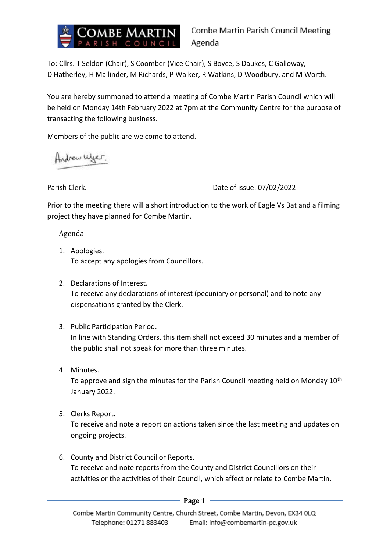

Combe Martin Parish Council Meeting Agenda

To: Cllrs. T Seldon (Chair), S Coomber (Vice Chair), S Boyce, S Daukes, C Galloway, D Hatherley, H Mallinder, M Richards, P Walker, R Watkins, D Woodbury, and M Worth.

You are hereby summoned to attend a meeting of Combe Martin Parish Council which will be held on Monday 14th February 2022 at 7pm at the Community Centre for the purpose of transacting the following business.

Members of the public are welcome to attend.

Andrew Wyer.

Parish Clerk. **Date of issue: 07/02/2022** 

Prior to the meeting there will a short introduction to the work of Eagle Vs Bat and a filming project they have planned for Combe Martin.

Agenda

- 1. Apologies. To accept any apologies from Councillors.
- 2. Declarations of Interest. To receive any declarations of interest (pecuniary or personal) and to note any dispensations granted by the Clerk.
- 3. Public Participation Period. In line with Standing Orders, this item shall not exceed 30 minutes and a member of the public shall not speak for more than three minutes.
- 4. Minutes.

To approve and sign the minutes for the Parish Council meeting held on Monday 10<sup>th</sup> January 2022.

5. Clerks Report.

To receive and note a report on actions taken since the last meeting and updates on ongoing projects.

6. County and District Councillor Reports. To receive and note reports from the County and District Councillors on their activities or the activities of their Council, which affect or relate to Combe Martin.

**Page 1**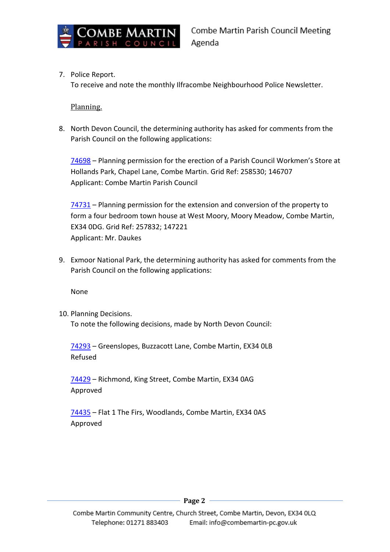

7. Police Report.

To receive and note the monthly Ilfracombe Neighbourhood Police Newsletter.

### Planning.

8. North Devon Council, the determining authority has asked for comments from the Parish Council on the following applications:

[74698](https://planning.northdevon.gov.uk/Planning/Display/74698) – Planning permission for the erection of a Parish Council Workmen's Store at Hollands Park, Chapel Lane, Combe Martin. Grid Ref: 258530; 146707 Applicant: Combe Martin Parish Council

[74731](https://planning.northdevon.gov.uk/Planning/Display/74731) – Planning permission for the extension and conversion of the property to form a four bedroom town house at West Moory, Moory Meadow, Combe Martin, EX34 0DG. Grid Ref: 257832; 147221 Applicant: Mr. Daukes

9. Exmoor National Park, the determining authority has asked for comments from the Parish Council on the following applications:

None

10. Planning Decisions. To note the following decisions, made by North Devon Council:

[74293](https://planning.northdevon.gov.uk/Planning/Display/74293) – Greenslopes, Buzzacott Lane, Combe Martin, EX34 0LB Refused

[74429](https://planning.northdevon.gov.uk/Planning/Display/74429) – Richmond, King Street, Combe Martin, EX34 0AG Approved

[74435](https://planning.northdevon.gov.uk/Planning/Display/74435) – Flat 1 The Firs, Woodlands, Combe Martin, EX34 0AS Approved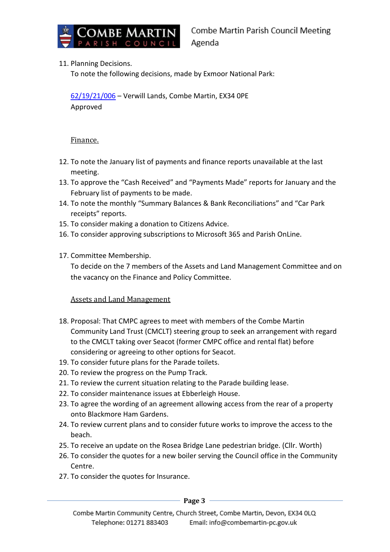

## 11. Planning Decisions.

To note the following decisions, made by Exmoor National Park:

[62/19/21/006](https://planning.agileapplications.co.uk/exmoor/application-details/22862) – Verwill Lands, Combe Martin, EX34 0PE Approved

## Finance.

- 12. To note the January list of payments and finance reports unavailable at the last meeting.
- 13. To approve the "Cash Received" and "Payments Made" reports for January and the February list of payments to be made.
- 14. To note the monthly "Summary Balances & Bank Reconciliations" and "Car Park receipts" reports.
- 15. To consider making a donation to Citizens Advice.
- 16. To consider approving subscriptions to Microsoft 365 and Parish OnLine.
- 17. Committee Membership.

To decide on the 7 members of the Assets and Land Management Committee and on the vacancy on the Finance and Policy Committee.

# Assets and Land Management

- 18. Proposal: That CMPC agrees to meet with members of the Combe Martin Community Land Trust (CMCLT) steering group to seek an arrangement with regard to the CMCLT taking over Seacot (former CMPC office and rental flat) before considering or agreeing to other options for Seacot.
- 19. To consider future plans for the Parade toilets.
- 20. To review the progress on the Pump Track.
- 21. To review the current situation relating to the Parade building lease.
- 22. To consider maintenance issues at Ebberleigh House.
- 23. To agree the wording of an agreement allowing access from the rear of a property onto Blackmore Ham Gardens.
- 24. To review current plans and to consider future works to improve the access to the beach.
- 25. To receive an update on the Rosea Bridge Lane pedestrian bridge. (Cllr. Worth)
- 26. To consider the quotes for a new boiler serving the Council office in the Community Centre.
- 27. To consider the quotes for Insurance.

**Page 3**